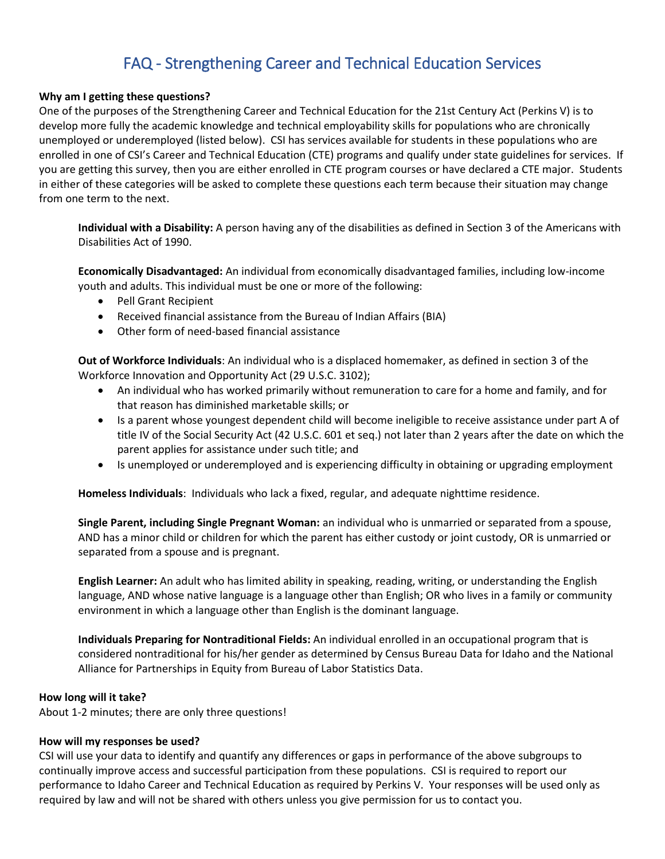# FAQ - Strengthening Career and Technical Education Services

## **Why am I getting these questions?**

One of the purposes of the Strengthening Career and Technical Education for the 21st Century Act (Perkins V) is to develop more fully the academic knowledge and technical employability skills for populations who are chronically unemployed or underemployed (listed below). CSI has services available for students in these populations who are enrolled in one of CSI's Career and Technical Education (CTE) programs and qualify under state guidelines for services. If you are getting this survey, then you are either enrolled in CTE program courses or have declared a CTE major. Students in either of these categories will be asked to complete these questions each term because their situation may change from one term to the next.

**Individual with a Disability:** A person having any of the disabilities as defined in Section 3 of the Americans with Disabilities Act of 1990.

**Economically Disadvantaged:** An individual from economically disadvantaged families, including low-income youth and adults. This individual must be one or more of the following:

- Pell Grant Recipient
- Received financial assistance from the Bureau of Indian Affairs (BIA)
- Other form of need-based financial assistance

**Out of Workforce Individuals**: An individual who is a displaced homemaker, as defined in section 3 of the Workforce Innovation and Opportunity Act (29 U.S.C. 3102);

- An individual who has worked primarily without remuneration to care for a home and family, and for that reason has diminished marketable skills; or
- Is a parent whose youngest dependent child will become ineligible to receive assistance under part A of title IV of the Social Security Act (42 U.S.C. 601 et seq.) not later than 2 years after the date on which the parent applies for assistance under such title; and
- Is unemployed or underemployed and is experiencing difficulty in obtaining or upgrading employment

**Homeless Individuals**: Individuals who lack a fixed, regular, and adequate nighttime residence.

**Single Parent, including Single Pregnant Woman:** an individual who is unmarried or separated from a spouse, AND has a minor child or children for which the parent has either custody or joint custody, OR is unmarried or separated from a spouse and is pregnant.

**English Learner:** An adult who has limited ability in speaking, reading, writing, or understanding the English language, AND whose native language is a language other than English; OR who lives in a family or community environment in which a language other than English is the dominant language.

**Individuals Preparing for Nontraditional Fields:** An individual enrolled in an occupational program that is considered nontraditional for his/her gender as determined by Census Bureau Data for Idaho and the National Alliance for Partnerships in Equity from Bureau of Labor Statistics Data.

# **How long will it take?**

About 1-2 minutes; there are only three questions!

# **How will my responses be used?**

CSI will use your data to identify and quantify any differences or gaps in performance of the above subgroups to continually improve access and successful participation from these populations. CSI is required to report our performance to Idaho Career and Technical Education as required by Perkins V. Your responses will be used only as required by law and will not be shared with others unless you give permission for us to contact you.